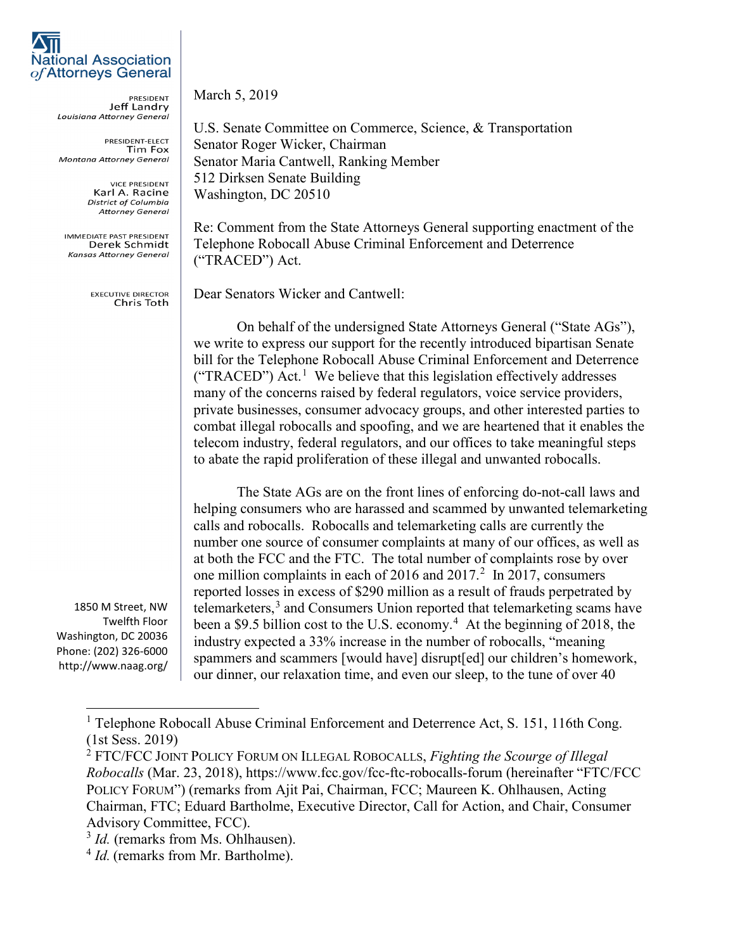

PRESIDENT<br>Jeff Landry Louisiana Attorney General

PRESIDENT-ELECT Tim Fox Montana Attorney General

> **VICE PRESIDENT** Karl A. Racine **District of Columbia Attorney General**

**IMMEDIATE PAST PRESIDENT** Derek Schmidt **Kansas Attorney General** 

> **EXECUTIVE DIRECTOR** Chris Toth

1850 M Street, NW Twelfth Floor Washington, DC 20036 Phone: (202) 326-6000 http://www.naag.org/ March 5, 2019

U.S. Senate Committee on Commerce, Science, & Transportation Senator Roger Wicker, Chairman Senator Maria Cantwell, Ranking Member 512 Dirksen Senate Building Washington, DC 20510

Re: Comment from the State Attorneys General supporting enactment of the Telephone Robocall Abuse Criminal Enforcement and Deterrence ("TRACED") Act.

Dear Senators Wicker and Cantwell:

On behalf of the undersigned State Attorneys General ("State AGs"), we write to express our support for the recently introduced bipartisan Senate bill for the Telephone Robocall Abuse Criminal Enforcement and Deterrence ("TRACED") Act.<sup>[1](#page-0-0)</sup> We believe that this legislation effectively addresses many of the concerns raised by federal regulators, voice service providers, private businesses, consumer advocacy groups, and other interested parties to combat illegal robocalls and spoofing, and we are heartened that it enables the telecom industry, federal regulators, and our offices to take meaningful steps to abate the rapid proliferation of these illegal and unwanted robocalls.

The State AGs are on the front lines of enforcing do-not-call laws and helping consumers who are harassed and scammed by unwanted telemarketing calls and robocalls. Robocalls and telemarketing calls are currently the number one source of consumer complaints at many of our offices, as well as at both the FCC and the FTC. The total number of complaints rose by over one million complaints in each of [2](#page-0-1)016 and  $2017<sup>2</sup>$  In 2017, consumers reported losses in excess of \$290 million as a result of frauds perpetrated by telemarketers,<sup>[3](#page-0-2)</sup> and Consumers Union reported that telemarketing scams have been a \$9.5 billion cost to the U.S. economy.<sup>[4](#page-0-3)</sup> At the beginning of 2018, the industry expected a 33% increase in the number of robocalls, "meaning spammers and scammers [would have] disrupt[ed] our children's homework, our dinner, our relaxation time, and even our sleep, to the tune of over 40

<span id="page-0-0"></span><sup>&</sup>lt;sup>1</sup> Telephone Robocall Abuse Criminal Enforcement and Deterrence Act, S. 151, 116th Cong. (1st Sess. 2019)

<span id="page-0-1"></span><sup>2</sup> FTC/FCC JOINT POLICY FORUM ON ILLEGAL ROBOCALLS, *Fighting the Scourge of Illegal Robocalls* (Mar. 23, 2018), https://www.fcc.gov/fcc-ftc-robocalls-forum (hereinafter "FTC/FCC POLICY FORUM") (remarks from Ajit Pai, Chairman, FCC; Maureen K. Ohlhausen, Acting Chairman, FTC; Eduard Bartholme, Executive Director, Call for Action, and Chair, Consumer Advisory Committee, FCC).

<span id="page-0-2"></span><sup>&</sup>lt;sup>3</sup> *Id.* (remarks from Ms. Ohlhausen).

<span id="page-0-3"></span><sup>&</sup>lt;sup>4</sup> *Id.* (remarks from Mr. Bartholme).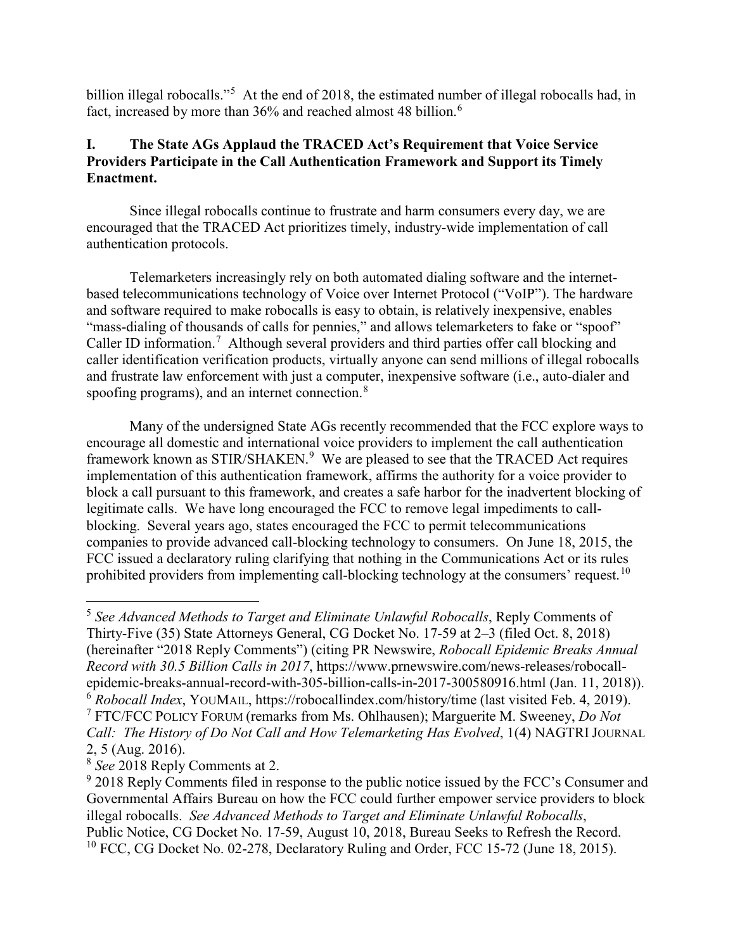billion illegal robocalls."<sup>[5](#page-1-0)</sup> At the end of 2018, the estimated number of illegal robocalls had, in fact, increased by more than 3[6](#page-1-1)% and reached almost 48 billion.<sup>6</sup>

## **I. The State AGs Applaud the TRACED Act's Requirement that Voice Service Providers Participate in the Call Authentication Framework and Support its Timely Enactment.**

Since illegal robocalls continue to frustrate and harm consumers every day, we are encouraged that the TRACED Act prioritizes timely, industry-wide implementation of call authentication protocols.

Telemarketers increasingly rely on both automated dialing software and the internetbased telecommunications technology of Voice over Internet Protocol ("VoIP"). The hardware and software required to make robocalls is easy to obtain, is relatively inexpensive, enables "mass-dialing of thousands of calls for pennies," and allows telemarketers to fake or "spoof" Caller ID information.<sup>[7](#page-1-2)</sup> Although several providers and third parties offer call blocking and caller identification verification products, virtually anyone can send millions of illegal robocalls and frustrate law enforcement with just a computer, inexpensive software (i.e., auto-dialer and spoofing programs), and an internet connection.<sup>[8](#page-1-3)</sup>

Many of the undersigned State AGs recently recommended that the FCC explore ways to encourage all domestic and international voice providers to implement the call authentication framework known as STIR/SHAKEN.<sup>[9](#page-1-4)</sup> We are pleased to see that the TRACED Act requires implementation of this authentication framework, affirms the authority for a voice provider to block a call pursuant to this framework, and creates a safe harbor for the inadvertent blocking of legitimate calls. We have long encouraged the FCC to remove legal impediments to callblocking. Several years ago, states encouraged the FCC to permit telecommunications companies to provide advanced call-blocking technology to consumers. On June 18, 2015, the FCC issued a declaratory ruling clarifying that nothing in the Communications Act or its rules prohibited providers from implementing call-blocking technology at the consumers' request.<sup>[10](#page-1-5)</sup>

<span id="page-1-0"></span> <sup>5</sup> *See Advanced Methods to Target and Eliminate Unlawful Robocalls*, Reply Comments of Thirty-Five (35) State Attorneys General, CG Docket No. 17-59 at 2–3 (filed Oct. 8, 2018) (hereinafter "2018 Reply Comments") (citing PR Newswire, *Robocall Epidemic Breaks Annual Record with 30.5 Billion Calls in 2017*, https://www.prnewswire.com/news-releases/robocallepidemic-breaks-annual-record-with-305-billion-calls-in-2017-300580916.html (Jan. 11, 2018)). <sup>6</sup> *Robocall Index*, YOUMAIL, https://robocallindex.com/history/time (last visited Feb. 4, 2019). <sup>7</sup> FTC/FCC POLICY FORUM (remarks from Ms. Ohlhausen); Marguerite M. Sweeney, *Do Not Call: The History of Do Not Call and How Telemarketing Has Evolved*, 1(4) NAGTRIJOURNAL 2, 5 (Aug. 2016).

<span id="page-1-3"></span><span id="page-1-2"></span><span id="page-1-1"></span><sup>8</sup> *See* 2018 Reply Comments at 2.

<span id="page-1-5"></span><span id="page-1-4"></span> $9$  2018 Reply Comments filed in response to the public notice issued by the FCC's Consumer and Governmental Affairs Bureau on how the FCC could further empower service providers to block illegal robocalls. *See Advanced Methods to Target and Eliminate Unlawful Robocalls*, Public Notice, CG Docket No. 17-59, August 10, 2018, Bureau Seeks to Refresh the Record.  $10$  FCC, CG Docket No. 02-278, Declaratory Ruling and Order, FCC 15-72 (June 18, 2015).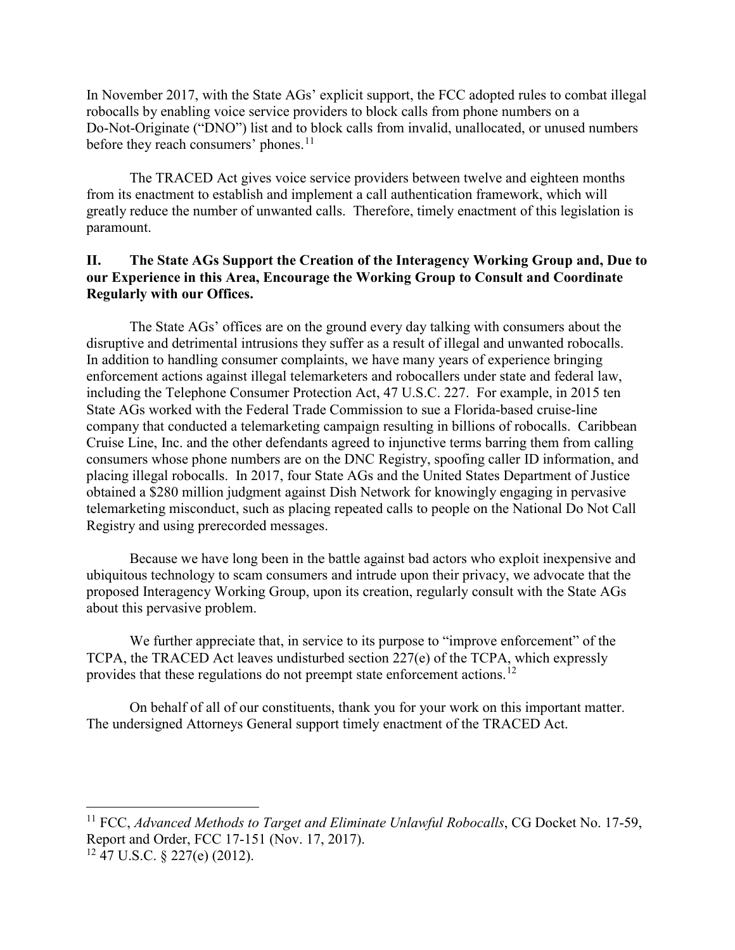In November 2017, with the State AGs' explicit support, the FCC adopted rules to combat illegal robocalls by enabling voice service providers to block calls from phone numbers on a Do-Not-Originate ("DNO") list and to block calls from invalid, unallocated, or unused numbers before they reach consumers' phones.<sup>[11](#page-2-0)</sup>

The TRACED Act gives voice service providers between twelve and eighteen months from its enactment to establish and implement a call authentication framework, which will greatly reduce the number of unwanted calls. Therefore, timely enactment of this legislation is paramount.

## **II. The State AGs Support the Creation of the Interagency Working Group and, Due to our Experience in this Area, Encourage the Working Group to Consult and Coordinate Regularly with our Offices.**

The State AGs' offices are on the ground every day talking with consumers about the disruptive and detrimental intrusions they suffer as a result of illegal and unwanted robocalls. In addition to handling consumer complaints, we have many years of experience bringing enforcement actions against illegal telemarketers and robocallers under state and federal law, including the Telephone Consumer Protection Act, 47 U.S.C. 227. For example, in 2015 ten State AGs worked with the Federal Trade Commission to sue a Florida-based cruise-line company that conducted a telemarketing campaign resulting in billions of robocalls. Caribbean Cruise Line, Inc. and the other defendants agreed to injunctive terms barring them from calling consumers whose phone numbers are on the DNC Registry, spoofing caller ID information, and placing illegal robocalls. In 2017, four State AGs and the United States Department of Justice obtained a \$280 million judgment against Dish Network for knowingly engaging in pervasive telemarketing misconduct, such as placing repeated calls to people on the National Do Not Call Registry and using prerecorded messages.

Because we have long been in the battle against bad actors who exploit inexpensive and ubiquitous technology to scam consumers and intrude upon their privacy, we advocate that the proposed Interagency Working Group, upon its creation, regularly consult with the State AGs about this pervasive problem.

We further appreciate that, in service to its purpose to "improve enforcement" of the TCPA, the TRACED Act leaves undisturbed section 227(e) of the TCPA, which expressly provides that these regulations do not preempt state enforcement actions.<sup>[12](#page-2-1)</sup>

On behalf of all of our constituents, thank you for your work on this important matter. The undersigned Attorneys General support timely enactment of the TRACED Act.

<span id="page-2-0"></span><sup>&</sup>lt;sup>11</sup> FCC, *Advanced Methods to Target and Eliminate Unlawful Robocalls*, CG Docket No. 17-59, Report and Order, FCC 17-151 (Nov. 17, 2017).

<span id="page-2-1"></span> $12$  47 U.S.C. § 227(e) (2012).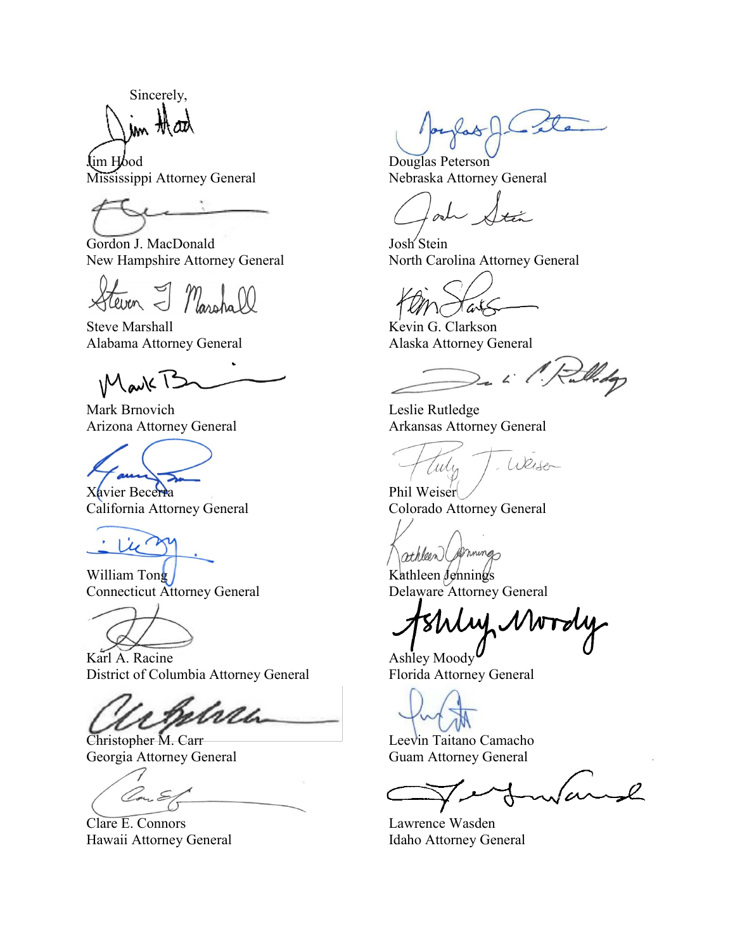Sincerely, im thanh

Lim Hood<br>
Mississippi Attorney General<br>
Nebraska Attorne

Gordon J. MacDonald Josh Stein New Hampshire Attorney General North Carolina Attorney General

Masshall

Steve Marshall Kevin G. Clarkson Alabama Attorney General Alaska Attorney General

Mark P

Mark Brnovich Leslie Rutledge



Xavier Becerra<br>
California Attorney General<br>
Colorado Attorney General California Attorney General



William Tong / Kathleen Jennings Connecticut Attorney General Delaware Attorney General

Karl A. Racine Ashley Moody District of Columbia Attorney General Florida Attorney General

brea

Georgia Attorney General Guam Attorney General

Von E

Clare E. Connors Lawrence Wasden Hawaii Attorney General **Idaho Attorney General** 

 $olCite$ 

Nebraska Attorney General

arts

2. L. P. Rullidge

Arizona Attorney General Arkansas Attorney General

Weiser Tuly

athleen (primings)

My Nordy

**Christopher M. Carr Leevin Taitano Camacho**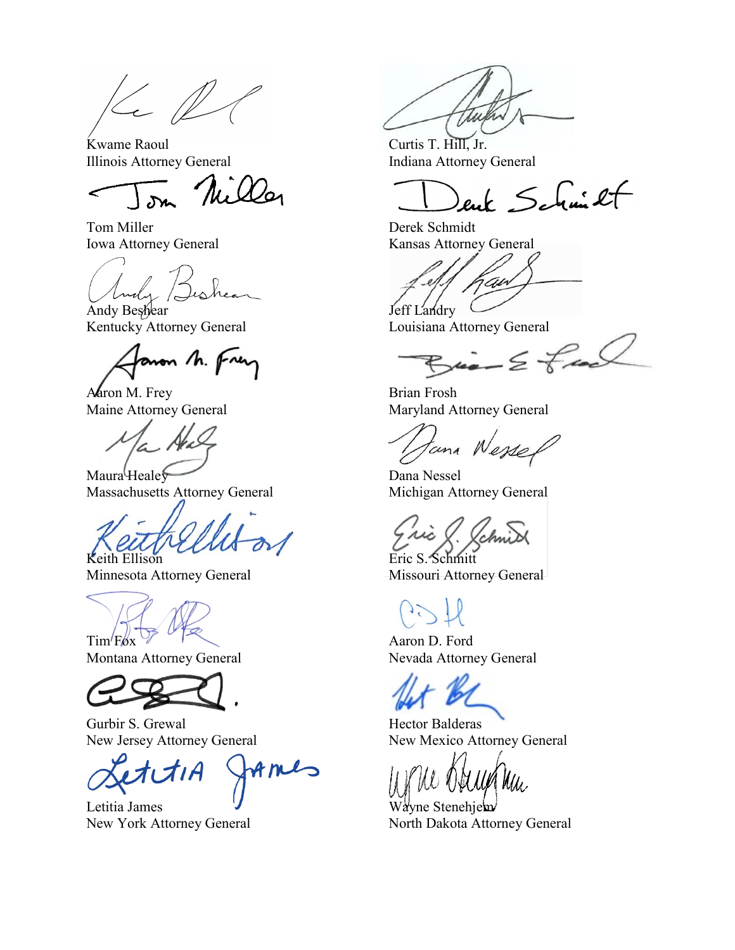$K_{c}$ 

Kwame Raoul Curtis T. Hill, Jr.

Niller

Tom Miller Derek Schmidt

Luchy Bishear

Andy Beshear Jeff Landry Kentucky Attorney General **Louisiana Attorney General** 

aron M. Frey

Aaron M. Frey Brian Frosh

Maura Healey Dana Nessel Massachusetts Attorney General Michigan Attorney General

Keith Ellison Eric S. Schmitt

 $\lim_{x \to 0}$  Ford Aaron D. Ford



Gurbir S. Grewal<br>
New Jersey Attorney General<br>
New Mexico Att

AMIS

Letitia James **V** Wayne Stenehjem

Illinois Attorney General **Indiana Attorney General** 

enk Schmilt

Iowa Attorney General Kansas Attorney General

'Aw

 $Bia - E$  fact

Maine Attorney General Maryland Attorney General

tana Wessel

Minnesota Attorney General Missouri Attorney General

Montana Attorney General Nevada Attorney General

New Mexico Attorney General

New York Attorney General North Dakota Attorney General